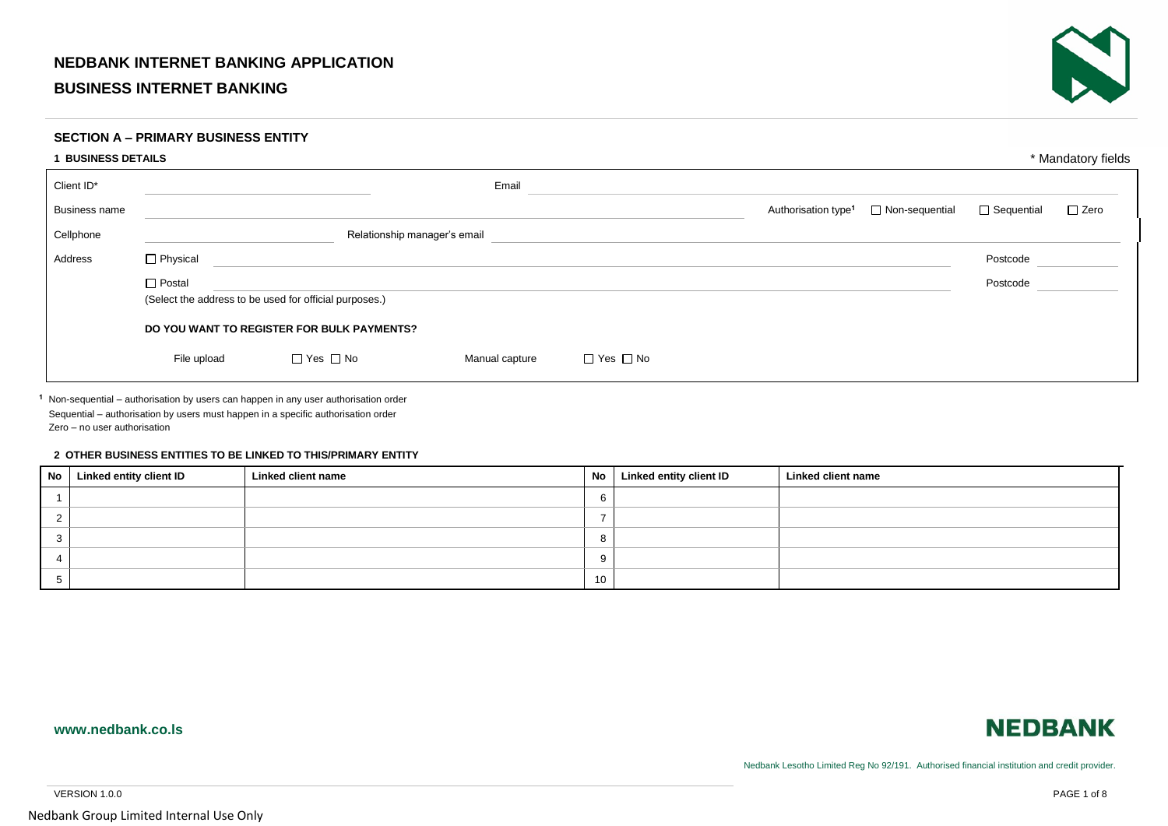## **NEDBANK INTERNET BANKING APPLICATION**

## **BUSINESS INTERNET BANKING**



### **SECTION A – PRIMARY BUSINESS ENTITY**

| <b>BUSINESS DETAILS</b> |               |                                                        |                |                      |                                                          |                   |             |  |
|-------------------------|---------------|--------------------------------------------------------|----------------|----------------------|----------------------------------------------------------|-------------------|-------------|--|
| Client ID*              |               |                                                        | Email          |                      |                                                          |                   |             |  |
| <b>Business name</b>    |               |                                                        |                |                      | $\Box$ Non-sequential<br>Authorisation type <sup>1</sup> | $\Box$ Sequential | $\Box$ Zero |  |
| Cellphone               |               | Relationship manager's email                           |                |                      |                                                          |                   |             |  |
| Address                 | □ Physical    |                                                        |                |                      |                                                          | Postcode          |             |  |
|                         | $\Box$ Postal |                                                        |                |                      |                                                          | Postcode          |             |  |
|                         |               | (Select the address to be used for official purposes.) |                |                      |                                                          |                   |             |  |
|                         |               | DO YOU WANT TO REGISTER FOR BULK PAYMENTS?             |                |                      |                                                          |                   |             |  |
|                         | File upload   | $\Box$ Yes $\Box$ No                                   | Manual capture | $\Box$ Yes $\Box$ No |                                                          |                   |             |  |

<sup>1</sup> Non-sequential – authorisation by users can happen in any user authorisation order Sequential – authorisation by users must happen in a specific authorisation order Zero – no user authorisation

#### **2 OTHER BUSINESS ENTITIES TO BE LINKED TO THIS/PRIMARY ENTITY**

| No Linked entity client ID | Linked client name | No | Linked entity client ID | Linked client name |
|----------------------------|--------------------|----|-------------------------|--------------------|
|                            |                    |    |                         |                    |
|                            |                    |    |                         |                    |
|                            |                    |    |                         |                    |
|                            |                    |    |                         |                    |
|                            |                    | 10 |                         |                    |

### **www.nedbank.co.ls**



Nedbank Lesotho Limited Reg No 92/191. Authorised financial institution and credit provider.

VERSION 1.0.0 PAGE 1 of 8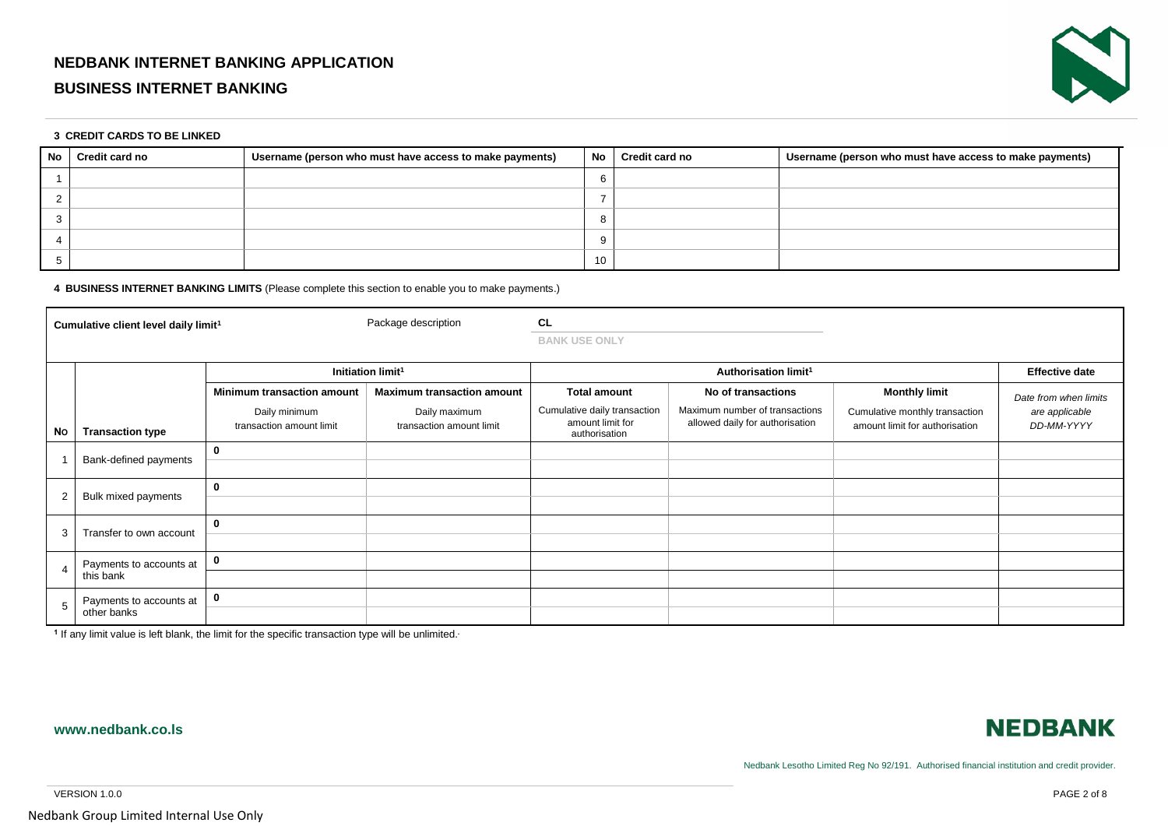# **NEDBANK INTERNET BANKING APPLICATION**

# **BUSINESS INTERNET BANKING**



#### **3 CREDIT CARDS TO BE LINKED**

| No l | Credit card no | Username (person who must have access to make payments) | <b>No</b> | <b>Credit card no</b> | Username (person who must have access to make payments) |
|------|----------------|---------------------------------------------------------|-----------|-----------------------|---------------------------------------------------------|
|      |                |                                                         |           |                       |                                                         |
|      |                |                                                         |           |                       |                                                         |
|      |                |                                                         |           |                       |                                                         |
|      |                |                                                         |           |                       |                                                         |
|      |                |                                                         | 10        |                       |                                                         |

#### **4 BUSINESS INTERNET BANKING LIMITS** (Please complete this section to enable you to make payments.)

| Cumulative client level daily limit <sup>1</sup> |                                                                      |                                   | Package description                       | <b>CL</b><br><b>BANK USE ONLY</b>                                 |                                                                   |                                                                  |                              |
|--------------------------------------------------|----------------------------------------------------------------------|-----------------------------------|-------------------------------------------|-------------------------------------------------------------------|-------------------------------------------------------------------|------------------------------------------------------------------|------------------------------|
|                                                  |                                                                      | Initiation limit <sup>1</sup>     |                                           |                                                                   | Authorisation limit <sup>1</sup>                                  | <b>Effective date</b>                                            |                              |
|                                                  |                                                                      | <b>Minimum transaction amount</b> | <b>Maximum transaction amount</b>         | <b>Total amount</b>                                               | No of transactions                                                | <b>Monthly limit</b>                                             | Date from when limits        |
| No                                               | Daily minimum<br>transaction amount limit<br><b>Transaction type</b> |                                   | Daily maximum<br>transaction amount limit | Cumulative daily transaction<br>amount limit for<br>authorisation | Maximum number of transactions<br>allowed daily for authorisation | Cumulative monthly transaction<br>amount limit for authorisation | are applicable<br>DD-MM-YYYY |
|                                                  | Bank-defined payments                                                | 0                                 |                                           |                                                                   |                                                                   |                                                                  |                              |
| $\overline{2}$                                   | Bulk mixed payments                                                  | $\mathbf 0$                       |                                           |                                                                   |                                                                   |                                                                  |                              |
| 3                                                | Transfer to own account                                              | 0                                 |                                           |                                                                   |                                                                   |                                                                  |                              |
| 4                                                | Payments to accounts at                                              | 0                                 |                                           |                                                                   |                                                                   |                                                                  |                              |
|                                                  | this bank                                                            |                                   |                                           |                                                                   |                                                                   |                                                                  |                              |
| 5                                                | Payments to accounts at<br>other banks                               | 0                                 |                                           |                                                                   |                                                                   |                                                                  |                              |
|                                                  |                                                                      |                                   |                                           |                                                                   |                                                                   |                                                                  |                              |

<sup>1</sup> If any limit value is left blank, the limit for the specific transaction type will be unlimited.

## **www.nedbank.co.ls**



Nedbank Lesotho Limited Reg No 92/191. Authorised financial institution and credit provider.

VERSION 1.0.0 PAGE 2 of 8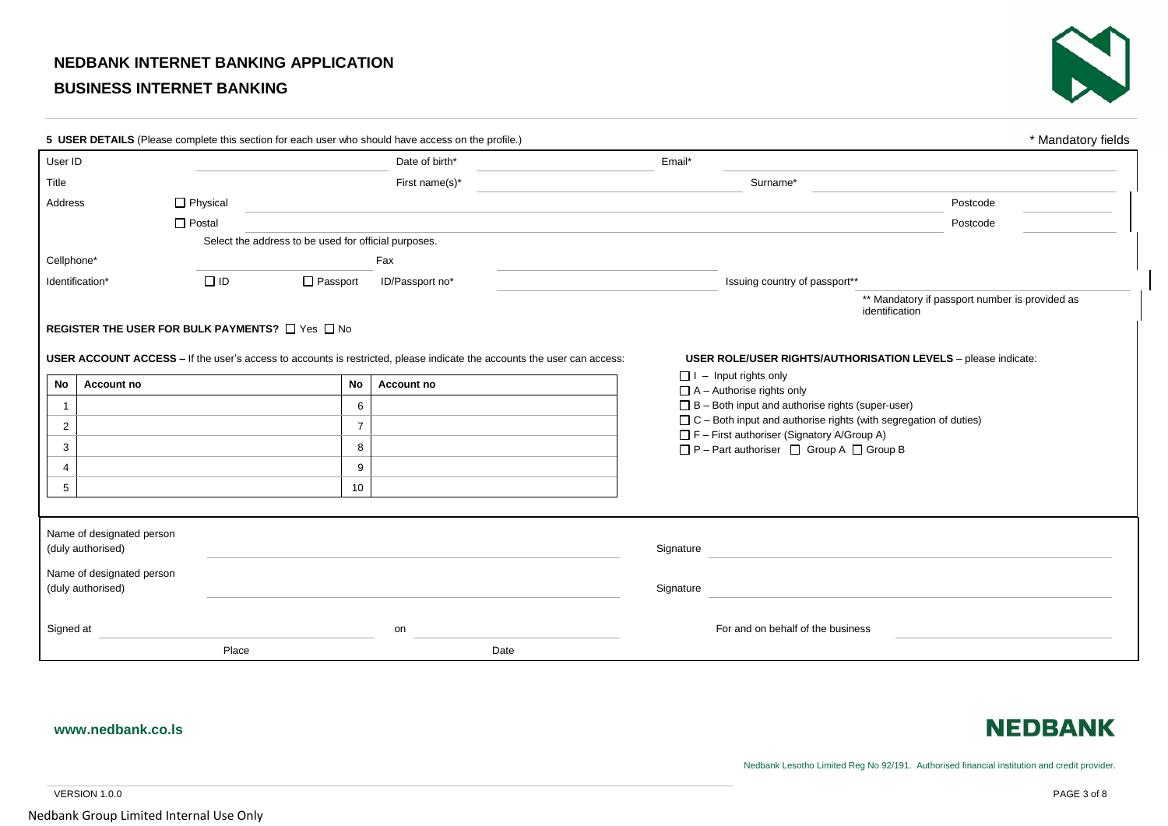# **NEDBANK INTERNET BANKING APPLICATION**

# **BUSINESS INTERNET BANKING**



|                 |                           | 5 USER DETAILS (Please complete this section for each user who should have access on the profile.) |                 |                                                                                                                         |                                                   |                                                                                             | * Mandatory fields                                                   |  |
|-----------------|---------------------------|----------------------------------------------------------------------------------------------------|-----------------|-------------------------------------------------------------------------------------------------------------------------|---------------------------------------------------|---------------------------------------------------------------------------------------------|----------------------------------------------------------------------|--|
| User ID         |                           |                                                                                                    |                 | Date of birth*                                                                                                          | Email*                                            |                                                                                             |                                                                      |  |
| Title           |                           |                                                                                                    |                 | First name(s)*                                                                                                          |                                                   | Surname*                                                                                    |                                                                      |  |
| Address         | $\Box$ Physical           |                                                                                                    |                 |                                                                                                                         |                                                   |                                                                                             | Postcode                                                             |  |
|                 | $\Box$ Postal             |                                                                                                    |                 |                                                                                                                         |                                                   |                                                                                             | Postcode                                                             |  |
|                 |                           | Select the address to be used for official purposes.                                               |                 |                                                                                                                         |                                                   |                                                                                             |                                                                      |  |
| Cellphone*      |                           |                                                                                                    | Fax             |                                                                                                                         |                                                   |                                                                                             |                                                                      |  |
| Identification* |                           | $\Box$ ID<br>□ Passport                                                                            | ID/Passport no* |                                                                                                                         |                                                   | Issuing country of passport**                                                               |                                                                      |  |
|                 |                           |                                                                                                    |                 |                                                                                                                         |                                                   |                                                                                             | ** Mandatory if passport number is provided as<br>identification     |  |
|                 |                           | <b>REGISTER THE USER FOR BULK PAYMENTS?</b> □ Yes □ No                                             |                 |                                                                                                                         |                                                   |                                                                                             |                                                                      |  |
|                 |                           |                                                                                                    |                 |                                                                                                                         |                                                   |                                                                                             |                                                                      |  |
|                 |                           |                                                                                                    |                 | USER ACCOUNT ACCESS - If the user's access to accounts is restricted, please indicate the accounts the user can access: |                                                   |                                                                                             | <b>USER ROLE/USER RIGHTS/AUTHORISATION LEVELS</b> - please indicate: |  |
| No              | Account no                |                                                                                                    | <b>No</b>       | Account no                                                                                                              |                                                   | $\Box$ I – Input rights only                                                                |                                                                      |  |
| -1              |                           |                                                                                                    | 6               |                                                                                                                         |                                                   | $\Box$ A - Authorise rights only<br>$\Box$ B – Both input and authorise rights (super-user) |                                                                      |  |
| $\overline{2}$  |                           |                                                                                                    | $\overline{7}$  |                                                                                                                         |                                                   | $\Box$ C – Both input and authorise rights (with segregation of duties)                     |                                                                      |  |
| 3               |                           |                                                                                                    | 8               |                                                                                                                         | $\Box$ F – First authoriser (Signatory A/Group A) |                                                                                             |                                                                      |  |
| 4               |                           |                                                                                                    | 9               |                                                                                                                         |                                                   | □ P - Part authoriser □ Group A □ Group B                                                   |                                                                      |  |
| 5               |                           |                                                                                                    | 10              |                                                                                                                         |                                                   |                                                                                             |                                                                      |  |
|                 |                           |                                                                                                    |                 |                                                                                                                         |                                                   |                                                                                             |                                                                      |  |
|                 |                           |                                                                                                    |                 |                                                                                                                         |                                                   |                                                                                             |                                                                      |  |
|                 | Name of designated person |                                                                                                    |                 |                                                                                                                         |                                                   |                                                                                             |                                                                      |  |
|                 | (duly authorised)         |                                                                                                    |                 |                                                                                                                         | Signature                                         |                                                                                             |                                                                      |  |
|                 | Name of designated person |                                                                                                    |                 |                                                                                                                         |                                                   |                                                                                             |                                                                      |  |
|                 | (duly authorised)         |                                                                                                    |                 |                                                                                                                         | Signature                                         |                                                                                             |                                                                      |  |
|                 |                           |                                                                                                    |                 |                                                                                                                         |                                                   |                                                                                             |                                                                      |  |
| Signed at       |                           |                                                                                                    | on              |                                                                                                                         |                                                   | For and on behalf of the business                                                           |                                                                      |  |
|                 |                           | Place                                                                                              |                 | Date                                                                                                                    |                                                   |                                                                                             |                                                                      |  |

### **www.nedbank.co.ls**

# **NEDBANK**

Nedbank Lesotho Limited Reg No 92/191. Authorised financial institution and credit provider.

VERSION 1.0.0 PAGE 3 of 8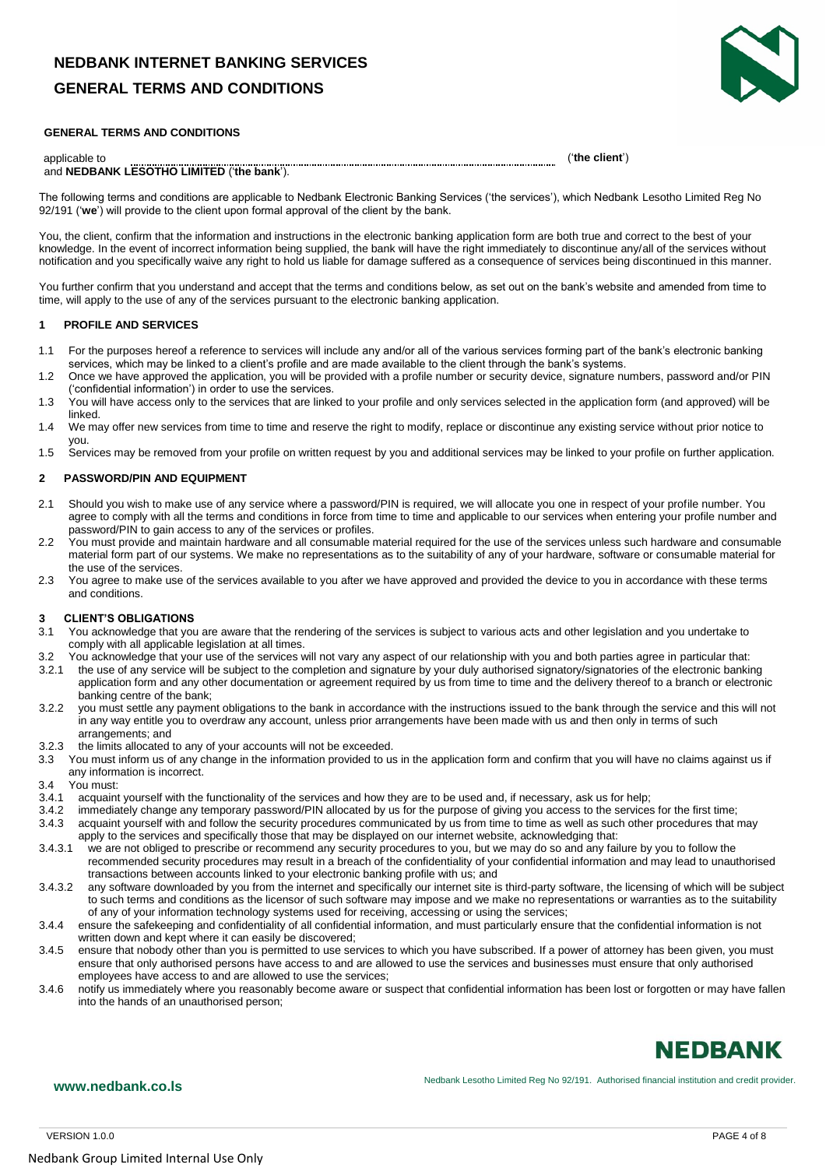# **NEDBANK INTERNET BANKING SERVICES GENERAL TERMS AND CONDITIONS**



#### **GENERAL TERMS AND CONDITIONS**

### applicable to ('**the client**')

#### and **NEDBANK LESOTHO LIMITED** ('**the bank**').

The following terms and conditions are applicable to Nedbank Electronic Banking Services ('the services'), which Nedbank Lesotho Limited Reg No 92/191 ('**we**') will provide to the client upon formal approval of the client by the bank.

You, the client, confirm that the information and instructions in the electronic banking application form are both true and correct to the best of your knowledge. In the event of incorrect information being supplied, the bank will have the right immediately to discontinue any/all of the services without notification and you specifically waive any right to hold us liable for damage suffered as a consequence of services being discontinued in this manner.

You further confirm that you understand and accept that the terms and conditions below, as set out on the bank's website and amended from time to time, will apply to the use of any of the services pursuant to the electronic banking application.

#### **1 PROFILE AND SERVICES**

- 1.1 For the purposes hereof a reference to services will include any and/or all of the various services forming part of the bank's electronic banking services, which may be linked to a client's profile and are made available to the client through the bank's systems.
- 1.2 Once we have approved the application, you will be provided with a profile number or security device, signature numbers, password and/or PIN ('confidential information') in order to use the services.
- 1.3 You will have access only to the services that are linked to your profile and only services selected in the application form (and approved) will be linked.
- 1.4 We may offer new services from time to time and reserve the right to modify, replace or discontinue any existing service without prior notice to you.
- 1.5 Services may be removed from your profile on written request by you and additional services may be linked to your profile on further application.

#### **2 PASSWORD/PIN AND EQUIPMENT**

- 2.1 Should you wish to make use of any service where a password/PIN is required, we will allocate you one in respect of your profile number. You agree to comply with all the terms and conditions in force from time to time and applicable to our services when entering your profile number and password/PIN to gain access to any of the services or profiles.
- 2.2 You must provide and maintain hardware and all consumable material required for the use of the services unless such hardware and consumable material form part of our systems. We make no representations as to the suitability of any of your hardware, software or consumable material for the use of the services.
- 2.3 You agree to make use of the services available to you after we have approved and provided the device to you in accordance with these terms and conditions.

# **3 CLIENT'S OBLIGATIONS**<br>**3.1** You acknowledge that you

- You acknowledge that you are aware that the rendering of the services is subject to various acts and other legislation and you undertake to comply with all applicable legislation at all times.
- 3.2 You acknowledge that your use of the services will not vary any aspect of our relationship with you and both parties agree in particular that:<br>3.2.1 the use of any service will be subject to the completion and signatur
- the use of any service will be subject to the completion and signature by your duly authorised signatory/signatories of the electronic banking application form and any other documentation or agreement required by us from time to time and the delivery thereof to a branch or electronic banking centre of the bank;
- 3.2.2 you must settle any payment obligations to the bank in accordance with the instructions issued to the bank through the service and this will not in any way entitle you to overdraw any account, unless prior arrangements have been made with us and then only in terms of such arrangements; and
- 3.2.3 the limits allocated to any of your accounts will not be exceeded.
- 3.3 You must inform us of any change in the information provided to us in the application form and confirm that you will have no claims against us if any information is incorrect.
- 3.4 You must:
- 3.4.1 acquaint yourself with the functionality of the services and how they are to be used and, if necessary, ask us for help;
- 3.4.2 immediately change any temporary password/PIN allocated by us for the purpose of giving you access to the services for the first time; 3.4.3 acquaint yourself with and follow the security procedures communicated by us from time to time as well as such other procedures that may apply to the services and specifically those that may be displayed on our internet website, acknowledging that:
- 3.4.3.1 we are not obliged to prescribe or recommend any security procedures to you, but we may do so and any failure by you to follow the recommended security procedures may result in a breach of the confidentiality of your confidential information and may lead to unauthorised transactions between accounts linked to your electronic banking profile with us; and
- 3.4.3.2 any software downloaded by you from the internet and specifically our internet site is third-party software, the licensing of which will be subject to such terms and conditions as the licensor of such software may impose and we make no representations or warranties as to the suitability of any of your information technology systems used for receiving, accessing or using the services;
- 3.4.4 ensure the safekeeping and confidentiality of all confidential information, and must particularly ensure that the confidential information is not written down and kept where it can easily be discovered;
- 3.4.5 ensure that nobody other than you is permitted to use services to which you have subscribed. If a power of attorney has been given, you must ensure that only authorised persons have access to and are allowed to use the services and businesses must ensure that only authorised employees have access to and are allowed to use the services;
- 3.4.6 notify us immediately where you reasonably become aware or suspect that confidential information has been lost or forgotten or may have fallen into the hands of an unauthorised person;

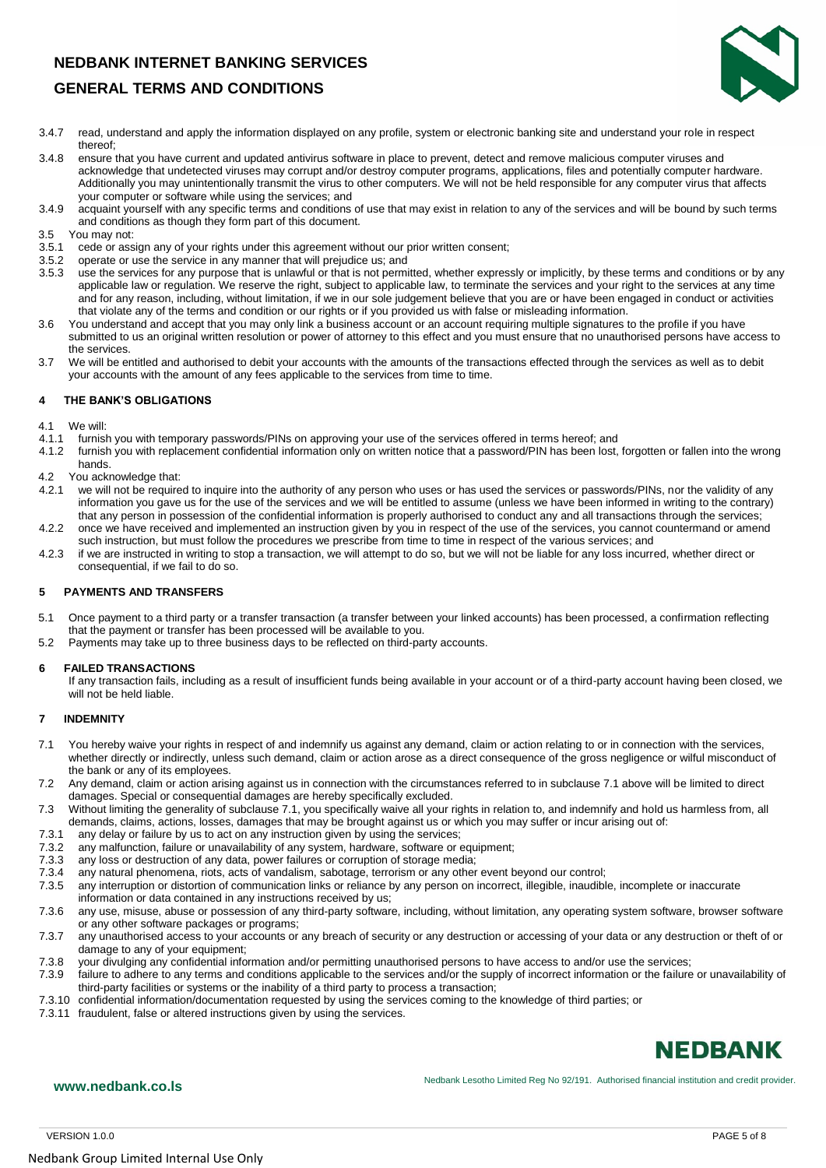# **GENERAL TERMS AND CONDITIONS**



- 3.4.7 read, understand and apply the information displayed on any profile, system or electronic banking site and understand your role in respect thereof;
- 3.4.8 ensure that you have current and updated antivirus software in place to prevent, detect and remove malicious computer viruses and acknowledge that undetected viruses may corrupt and/or destroy computer programs, applications, files and potentially computer hardware. Additionally you may unintentionally transmit the virus to other computers. We will not be held responsible for any computer virus that affects your computer or software while using the services; and
- 3.4.9 acquaint yourself with any specific terms and conditions of use that may exist in relation to any of the services and will be bound by such terms and conditions as though they form part of this document.
- 3.5 You may not:
- cede or assign any of your rights under this agreement without our prior written consent;
- 3.5.2 operate or use the service in any manner that will prejudice us; and 3.5.3 use the services for any purpose that is unlawful or that is not permit
- use the services for any purpose that is unlawful or that is not permitted, whether expressly or implicitly, by these terms and conditions or by any applicable law or regulation. We reserve the right, subject to applicable law, to terminate the services and your right to the services at any time and for any reason, including, without limitation, if we in our sole judgement believe that you are or have been engaged in conduct or activities that violate any of the terms and condition or our rights or if you provided us with false or misleading information.
- 3.6 You understand and accept that you may only link a business account or an account requiring multiple signatures to the profile if you have submitted to us an original written resolution or power of attorney to this effect and you must ensure that no unauthorised persons have access to the services.
- 3.7 We will be entitled and authorised to debit your accounts with the amounts of the transactions effected through the services as well as to debit your accounts with the amount of any fees applicable to the services from time to time.

#### **4 THE BANK'S OBLIGATIONS**

4.1 We will:

- 4.1.1 furnish you with temporary passwords/PINs on approving your use of the services offered in terms hereof; and<br>4.1.2 furnish you with replacement confidential information only on written notice that a password/PIN has
- furnish you with replacement confidential information only on written notice that a password/PIN has been lost, forgotten or fallen into the wrong hands.
- 4.2 You acknowledge that:<br>4.2.1 we will not be require
- we will not be required to inquire into the authority of any person who uses or has used the services or passwords/PINs, nor the validity of any information you gave us for the use of the services and we will be entitled to assume (unless we have been informed in writing to the contrary) that any person in possession of the confidential information is properly authorised to conduct any and all transactions through the services; 4.2.2 once we have received and implemented an instruction given by you in respect of the use of the services, you cannot countermand or amend
- such instruction, but must follow the procedures we prescribe from time to time in respect of the various services; and 4.2.3 if we are instructed in writing to stop a transaction, we will attempt to do so, but we will not be liable for any loss incurred, whether direct or consequential, if we fail to do so.

#### **5 PAYMENTS AND TRANSFERS**

- 5.1 Once payment to a third party or a transfer transaction (a transfer between your linked accounts) has been processed, a confirmation reflecting that the payment or transfer has been processed will be available to you.
- 5.2 Payments may take up to three business days to be reflected on third-party accounts.

#### **6 FAILED TRANSACTIONS**

If any transaction fails, including as a result of insufficient funds being available in your account or of a third-party account having been closed, we will not be held liable.

#### **7 INDEMNITY**

- 7.1 You hereby waive your rights in respect of and indemnify us against any demand, claim or action relating to or in connection with the services, whether directly or indirectly, unless such demand, claim or action arose as a direct consequence of the gross negligence or wilful misconduct of the bank or any of its employees.
- 7.2 Any demand, claim or action arising against us in connection with the circumstances referred to in subclause 7.1 above will be limited to direct damages. Special or consequential damages are hereby specifically excluded.
- 7.3 Without limiting the generality of subclause 7.1, you specifically waive all your rights in relation to, and indemnify and hold us harmless from, all demands, claims, actions, losses, damages that may be brought against us or which you may suffer or incur arising out of:
- 7.3.1 any delay or failure by us to act on any instruction given by using the services;
- 7.3.2 any malfunction, failure or unavailability of any system, hardware, software or equipment;
- 7.3.3 any loss or destruction of any data, power failures or corruption of storage media;
- 7.3.4 any natural phenomena, riots, acts of vandalism, sabotage, terrorism or any other event beyond our control;
- 7.3.5 any interruption or distortion of communication links or reliance by any person on incorrect, illegible, inaudible, incomplete or inaccurate
- information or data contained in any instructions received by us;
- 7.3.6 any use, misuse, abuse or possession of any third-party software, including, without limitation, any operating system software, browser software or any other software packages or programs;
- 7.3.7 any unauthorised access to your accounts or any breach of security or any destruction or accessing of your data or any destruction or theft of or damage to any of your equipment;
- 7.3.8 your divulging any confidential information and/or permitting unauthorised persons to have access to and/or use the services;
- 7.3.9 failure to adhere to any terms and conditions applicable to the services and/or the supply of incorrect information or the failure or unavailability of third-party facilities or systems or the inability of a third party to process a transaction;
- 7.3.10 confidential information/documentation requested by using the services coming to the knowledge of third parties; or
- 7.3.11 fraudulent, false or altered instructions given by using the services.

# **NEDBANK**

**www.nedbank.co.ls www.nedbank.co.ls Nedbank Lesotho Limited Reg No 92/191.** Authorised financial institution and credit provider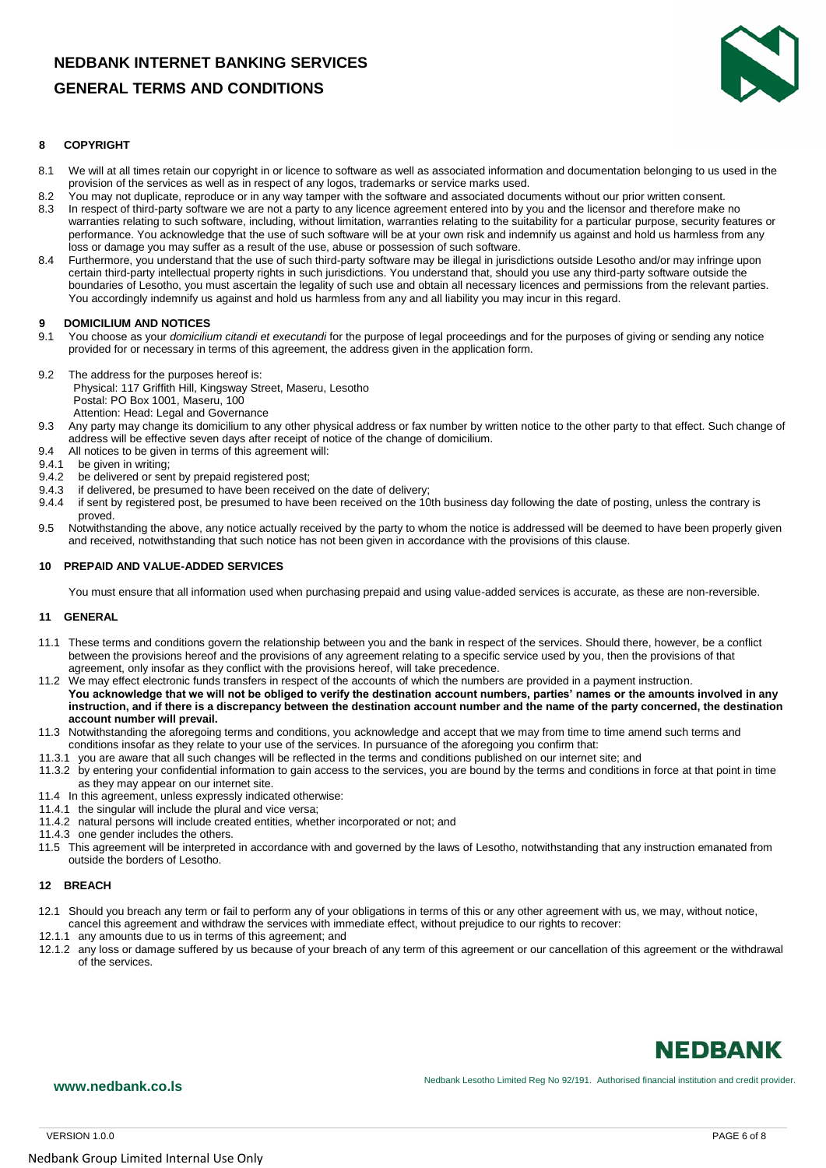# **GENERAL TERMS AND CONDITIONS**



#### **8 COPYRIGHT**

- 8.1 We will at all times retain our copyright in or licence to software as well as associated information and documentation belonging to us used in the provision of the services as well as in respect of any logos, trademarks or service marks used.
- 8.2 You may not duplicate, reproduce or in any way tamper with the software and associated documents without our prior written consent.<br>8.3 In respect of third-party software we are not a party to any licence agreement ent
- In respect of third-party software we are not a party to any licence agreement entered into by you and the licensor and therefore make no warranties relating to such software, including, without limitation, warranties relating to the suitability for a particular purpose, security features or performance. You acknowledge that the use of such software will be at your own risk and indemnify us against and hold us harmless from any loss or damage you may suffer as a result of the use, abuse or possession of such software.
- 8.4 Furthermore, you understand that the use of such third-party software may be illegal in jurisdictions outside Lesotho and/or may infringe upon certain third-party intellectual property rights in such jurisdictions. You understand that, should you use any third-party software outside the boundaries of Lesotho, you must ascertain the legality of such use and obtain all necessary licences and permissions from the relevant parties. You accordingly indemnify us against and hold us harmless from any and all liability you may incur in this regard.

#### **9 DOMICILIUM AND NOTICES**

- 9.1 You choose as your *domicilium citandi et executandi* for the purpose of legal proceedings and for the purposes of giving or sending any notice provided for or necessary in terms of this agreement, the address given in the application form.
- 9.2 The address for the purposes hereof is:
- Physical: 117 Griffith Hill, Kingsway Street, Maseru, Lesotho Postal: PO Box 1001, Maseru, 100 Attention: Head: Legal and Governance
- 9.3 Any party may change its domicilium to any other physical address or fax number by written notice to the other party to that effect. Such change of address will be effective seven days after receipt of notice of the change of domicilium.
- 9.4 All notices to be given in terms of this agreement will:
- 9.4.1 be given in writing;
- 9.4.2 be delivered or sent by prepaid registered post;<br>9.4.3 if delivered, be presumed to have been received
- 
- 9.4.3 if delivered, be presumed to have been received on the date of delivery;<br>9.4.4 if sent by registered post, be presumed to have been received on the 10 9.4.4 if sent by registered post, be presumed to have been received on the 10th business day following the date of posting, unless the contrary is proved.
- 9.5 Notwithstanding the above, any notice actually received by the party to whom the notice is addressed will be deemed to have been properly given and received, notwithstanding that such notice has not been given in accordance with the provisions of this clause.

#### **10 PREPAID AND VALUE-ADDED SERVICES**

You must ensure that all information used when purchasing prepaid and using value-added services is accurate, as these are non-reversible.

#### **11 GENERAL**

- 11.1 These terms and conditions govern the relationship between you and the bank in respect of the services. Should there, however, be a conflict between the provisions hereof and the provisions of any agreement relating to a specific service used by you, then the provisions of that agreement, only insofar as they conflict with the provisions hereof, will take precedence.
- 11.2 We may effect electronic funds transfers in respect of the accounts of which the numbers are provided in a payment instruction. **You acknowledge that we will not be obliged to verify the destination account numbers, parties' names or the amounts involved in any instruction, and if there is a discrepancy between the destination account number and the name of the party concerned, the destination account number will prevail.**
- 11.3 Notwithstanding the aforegoing terms and conditions, you acknowledge and accept that we may from time to time amend such terms and conditions insofar as they relate to your use of the services. In pursuance of the aforegoing you confirm that:
- 11.3.1 you are aware that all such changes will be reflected in the terms and conditions published on our internet site; and
- 11.3.2 by entering your confidential information to gain access to the services, you are bound by the terms and conditions in force at that point in time as they may appear on our internet site.
- 11.4 In this agreement, unless expressly indicated otherwise:
- 11.4.1 the singular will include the plural and vice versa;
- 11.4.2 natural persons will include created entities, whether incorporated or not; and
- 11.4.3 one gender includes the others.
- 11.5 This agreement will be interpreted in accordance with and governed by the laws of Lesotho, notwithstanding that any instruction emanated from outside the borders of Lesotho.

### **12 BREACH**

- 12.1 Should you breach any term or fail to perform any of your obligations in terms of this or any other agreement with us, we may, without notice, cancel this agreement and withdraw the services with immediate effect, without prejudice to our rights to recover:
- 12.1.1 any amounts due to us in terms of this agreement; and
- 12.1.2 any loss or damage suffered by us because of your breach of any term of this agreement or our cancellation of this agreement or the withdrawal of the services.

# **NEDBANK**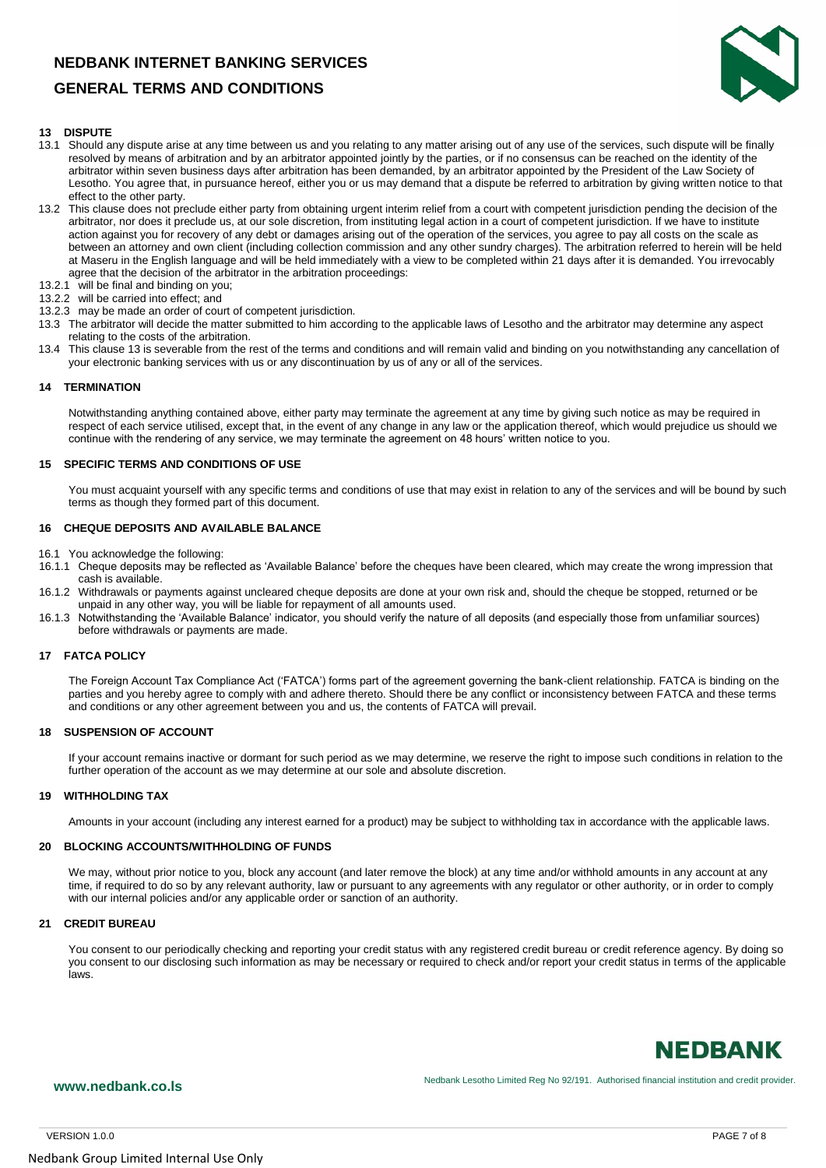# **GENERAL TERMS AND CONDITIONS**



#### **13 DISPUTE**

- 13.1 Should any dispute arise at any time between us and you relating to any matter arising out of any use of the services, such dispute will be finally resolved by means of arbitration and by an arbitrator appointed jointly by the parties, or if no consensus can be reached on the identity of the arbitrator within seven business days after arbitration has been demanded, by an arbitrator appointed by the President of the Law Society of Lesotho. You agree that, in pursuance hereof, either you or us may demand that a dispute be referred to arbitration by giving written notice to that effect to the other party.
- 13.2 This clause does not preclude either party from obtaining urgent interim relief from a court with competent jurisdiction pending the decision of the arbitrator, nor does it preclude us, at our sole discretion, from instituting legal action in a court of competent jurisdiction. If we have to institute action against you for recovery of any debt or damages arising out of the operation of the services, you agree to pay all costs on the scale as between an attorney and own client (including collection commission and any other sundry charges). The arbitration referred to herein will be held at Maseru in the English language and will be held immediately with a view to be completed within 21 days after it is demanded. You irrevocably agree that the decision of the arbitrator in the arbitration proceedings:
- 13.2.1 will be final and binding on you;
- 13.2.2 will be carried into effect; and
- 13.2.3 may be made an order of court of competent jurisdiction.
- 13.3 The arbitrator will decide the matter submitted to him according to the applicable laws of Lesotho and the arbitrator may determine any aspect relating to the costs of the arbitration.
- 13.4 This clause 13 is severable from the rest of the terms and conditions and will remain valid and binding on you notwithstanding any cancellation of your electronic banking services with us or any discontinuation by us of any or all of the services.

#### **14 TERMINATION**

Notwithstanding anything contained above, either party may terminate the agreement at any time by giving such notice as may be required in respect of each service utilised, except that, in the event of any change in any law or the application thereof, which would prejudice us should we continue with the rendering of any service, we may terminate the agreement on 48 hours' written notice to you.

#### **15 SPECIFIC TERMS AND CONDITIONS OF USE**

You must acquaint yourself with any specific terms and conditions of use that may exist in relation to any of the services and will be bound by such terms as though they formed part of this document.

#### **16 CHEQUE DEPOSITS AND AVAILABLE BALANCE**

- 16.1 You acknowledge the following:
- 16.1.1 Cheque deposits may be reflected as 'Available Balance' before the cheques have been cleared, which may create the wrong impression that cash is available.
- 16.1.2 Withdrawals or payments against uncleared cheque deposits are done at your own risk and, should the cheque be stopped, returned or be unpaid in any other way, you will be liable for repayment of all amounts used.
- 16.1.3 Notwithstanding the 'Available Balance' indicator, you should verify the nature of all deposits (and especially those from unfamiliar sources) before withdrawals or payments are made.

#### **17 FATCA POLICY**

The Foreign Account Tax Compliance Act ('FATCA') forms part of the agreement governing the bank-client relationship. FATCA is binding on the parties and you hereby agree to comply with and adhere thereto. Should there be any conflict or inconsistency between FATCA and these terms and conditions or any other agreement between you and us, the contents of FATCA will prevail.

#### **18 SUSPENSION OF ACCOUNT**

If your account remains inactive or dormant for such period as we may determine, we reserve the right to impose such conditions in relation to the further operation of the account as we may determine at our sole and absolute discretion.

#### **19 WITHHOLDING TAX**

Amounts in your account (including any interest earned for a product) may be subject to withholding tax in accordance with the applicable laws.

#### **20 BLOCKING ACCOUNTS/WITHHOLDING OF FUNDS**

We may, without prior notice to you, block any account (and later remove the block) at any time and/or withhold amounts in any account at any time, if required to do so by any relevant authority, law or pursuant to any agreements with any regulator or other authority, or in order to comply with our internal policies and/or any applicable order or sanction of an authority.

#### **21 CREDIT BUREAU**

You consent to our periodically checking and reporting your credit status with any registered credit bureau or credit reference agency. By doing so you consent to our disclosing such information as may be necessary or required to check and/or report your credit status in terms of the applicable laws.